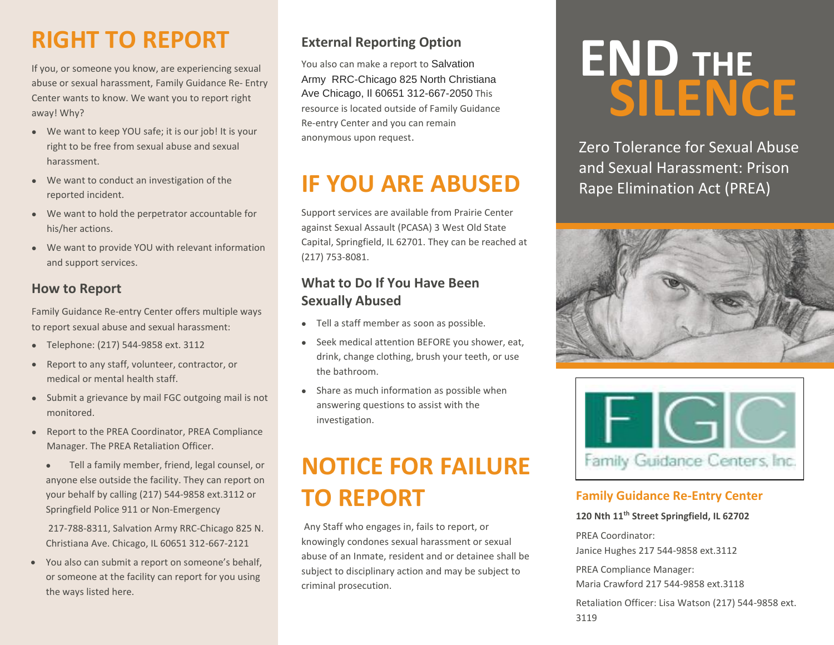### **RIGHT TO REPORT**

If you, or someone you know, are experiencing sexual abuse or sexual harassment, Family Guidance Re- Entry Center wants to know. We want you to report right away! Why?

- We want to keep YOU safe; it is our job! It is your right to be free from sexual abuse and sexual harassment.
- We want to conduct an investigation of the reported incident.
- We want to hold the perpetrator accountable for his/her actions.
- We want to provide YOU with relevant information and support services.

#### **How to Report**

Family Guidance Re-entry Center offers multiple ways to report sexual abuse and sexual harassment:

- Telephone: (217) 544-9858 ext. 3112
- Report to any staff, volunteer, contractor, or medical or mental health staff.
- Submit a grievance by mail FGC outgoing mail is not monitored.
- Report to the PREA Coordinator, PREA Compliance Manager. The PREA Retaliation Officer.
	- Tell a family member, friend, legal counsel, or anyone else outside the facility. They can report on your behalf by calling (217) 544-9858 ext.3112 or Springfield Police 911 or Non-Emergency

217-788-8311, Salvation Army RRC-Chicago 825 N. Christiana Ave. Chicago, IL 60651 312-667-2121

• You also can submit a report on someone's behalf, or someone at the facility can report for you using the ways listed here.

### **External Reporting Option**

You also can make a report to Salvation Army RRC-Chicago 825 North Christiana Ave Chicago, Il 60651 312-667-2050 This resource is located outside of Family Guidance Re-entry Center and you can remain anonymous upon request.

### **IF YOU ARE ABUSED**

Support services are available from Prairie Center against Sexual Assault (PCASA) 3 West Old State Capital, Springfield, IL 62701. They can be reached at (217) 753-8081.

### **What to Do If You Have Been Sexually Abused**

- Tell a staff member as soon as possible.
- Seek medical attention BEFORE you shower, eat, drink, change clothing, brush your teeth, or use the bathroom.
- Share as much information as possible when answering questions to assist with the investigation.

### **NOTICE FOR FAILURE TO REPORT**

Any Staff who engages in, fails to report, or knowingly condones sexual harassment or sexual abuse of an Inmate, resident and or detainee shall be subject to disciplinary action and may be subject to criminal prosecution.

# END THE **SILENCE**

Zero Tolerance for Sexual Abuse and Sexual Harassment: Prison Rape Elimination Act (PREA)





#### **Family Guidance Re-Entry Center**

**120 Nth 11th Street Springfield, IL 62702**

PREA Coordinator: Janice Hughes 217 544-9858 ext.3112

PREA Compliance Manager:

Maria Crawford 217 544-9858 ext.3118

Retaliation Officer: Lisa Watson (217) 544-9858 ext. 3119